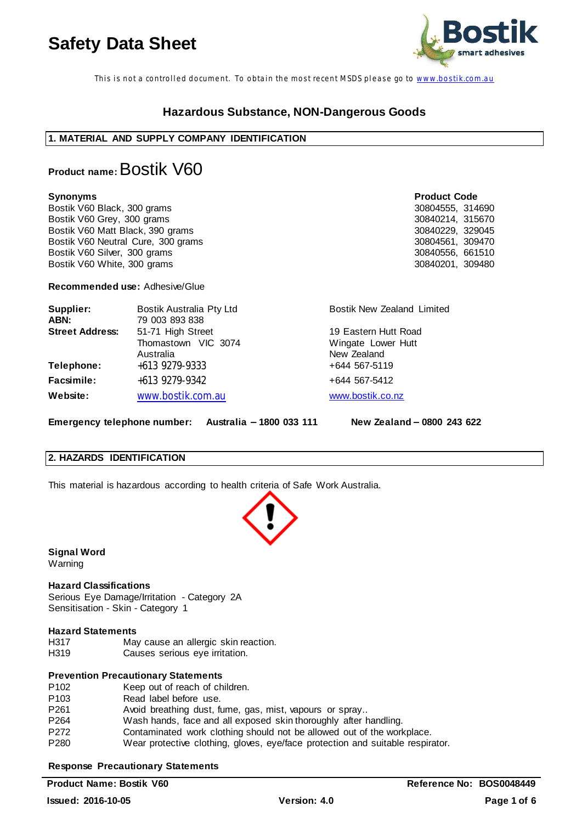

This is not a controlled document. To obtain the most recent MSDS please go to www.bostik.com.au

# **Hazardous Substance, NON-Dangerous Goods**

# **1. MATERIAL AND SUPPLY COMPANY IDENTIFICATION**

# **Product name:** Bostik V60

**Synonyms Product Code** Bostik V60 Black, 300 grams 30804555, 314690<br>Bostik V60 Grey, 300 grams 30840214, 315670 Bostik V60 Grey, 300 grams Bostik V60 Matt Black, 390 grams 30840229, 329045<br>Bostik V60 Neutral Cure, 300 grams 30804561, 309470 Bostik V60 Neutral Cure, 300 grams 30804561, 309470<br>Bostik V60 Silver, 300 grams 30840556, 661510 Bostik V60 Silver, 300 grams Bostik V60 White, 300 grams 30840201, 309480

**Recommended use:** Adhesive/Glue

| Supplier:<br>ABN:      | Bostik Australia Pty Ltd<br>79 003 893 838 | Bostik New Zealand Limited        |
|------------------------|--------------------------------------------|-----------------------------------|
| <b>Street Address:</b> | 51-71 High Street                          | 19 Eastern Hutt Road              |
|                        | Thomastown VIC 3074<br>Australia           | Wingate Lower Hutt<br>New Zealand |
| Telephone:             | +613 9279-9333                             | +644 567-5119                     |
| Facsimile:             | +613 9279-9342                             | +644 567-5412                     |
| <b>Website:</b>        | www.bostik.com.au                          | www.bostik.co.nz                  |

**Emergency telephone number: Australia 1800 033 111 New Zealand 0800 243 622**

# **2. HAZARDS IDENTIFICATION**

This material is hazardous according to health criteria of Safe Work Australia.

**Signal Word** Warning

# **Hazard Classifications**

Serious Eye Damage/Irritation - Category 2A Sensitisation - Skin - Category 1

# **Hazard Statements**

H317 May cause an allergic skin reaction. H319 Causes serious eye irritation.

# **Prevention Precautionary Statements**

| P <sub>102</sub> | Keep out of reach of children.                                                 |
|------------------|--------------------------------------------------------------------------------|
| P <sub>103</sub> | Read label before use.                                                         |
| P261             | Avoid breathing dust, fume, gas, mist, vapours or spray                        |
| P <sub>264</sub> | Wash hands, face and all exposed skin thoroughly after handling.               |
| P272             | Contaminated work clothing should not be allowed out of the workplace.         |
| P <sub>280</sub> | Wear protective clothing, gloves, eye/face protection and suitable respirator. |

# **Response Precautionary Statements**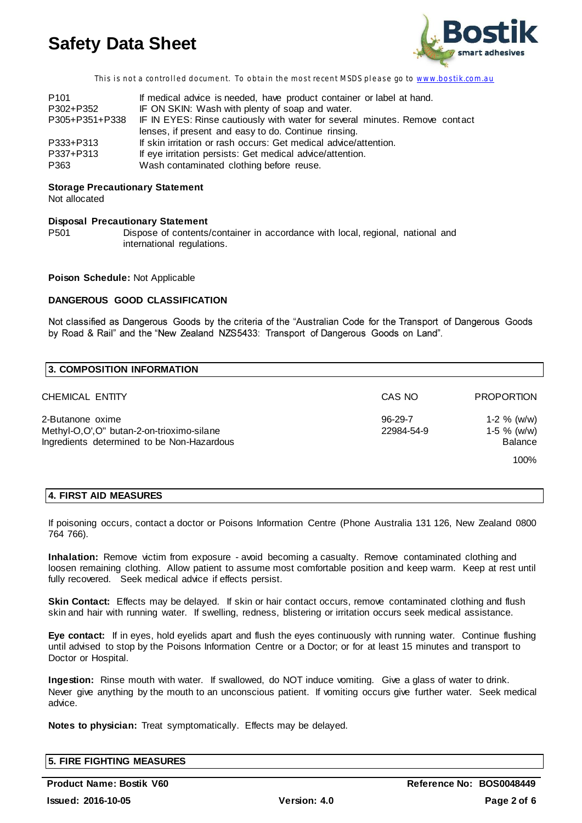

This is not a controlled document. To obtain the most recent MSDS please go to www.bostik.com.au

| P <sub>101</sub> | If medical advice is needed, have product container or label at hand.                      |
|------------------|--------------------------------------------------------------------------------------------|
| P302+P352        | IF ON SKIN: Wash with plenty of soap and water.                                            |
|                  | P305+P351+P338 IF IN EYES: Rinse cautiously with water for several minutes. Remove contact |
|                  | lenses, if present and easy to do. Continue rinsing.                                       |
| P333+P313        | If skin irritation or rash occurs: Get medical advice/attention.                           |
| P337+P313        | If eye irritation persists: Get medical advice/attention.                                  |
| P363             | Wash contaminated clothing before reuse.                                                   |

# **Storage Precautionary Statement**

Not allocated

### **Disposal Precautionary Statement**

P501 Dispose of contents/container in accordance with local, regional, national and international regulations.

# **Poison Schedule:** Not Applicable

# **DANGEROUS GOOD CLASSIFICATION**

Not classified as Dangerous Goods by the criteria of the "Australian Code for the Transport of Dangerous Goods by Road & Rail" and the "New Zealand NZS5433: Transport of Dangerous Goods on Land".

| <b>3. COMPOSITION INFORMATION</b>                                                                           |                       |                                                          |
|-------------------------------------------------------------------------------------------------------------|-----------------------|----------------------------------------------------------|
| CHEMICAL ENTITY                                                                                             | CAS NO                | <b>PROPORTION</b>                                        |
| 2-Butanone oxime<br>Methyl-O,O',O" butan-2-on-trioximo-silane<br>Ingredients determined to be Non-Hazardous | 96-29-7<br>22984-54-9 | 1-2 $%$ (w/w)<br>1-5 $%$ (w/w)<br><b>Balance</b><br>100% |

# **4. FIRST AID MEASURES**

If poisoning occurs, contact a doctor or Poisons Information Centre (Phone Australia 131 126, New Zealand 0800 764 766).

**Inhalation:** Remove victim from exposure - avoid becoming a casualty. Remove contaminated clothing and loosen remaining clothing. Allow patient to assume most comfortable position and keep warm. Keep at rest until fully recovered. Seek medical advice if effects persist.

Skin Contact: Effects may be delayed. If skin or hair contact occurs, remove contaminated clothing and flush skin and hair with running water. If swelling, redness, blistering or irritation occurs seek medical assistance.

**Eye contact:** If in eyes, hold eyelids apart and flush the eyes continuously with running water. Continue flushing until advised to stop by the Poisons Information Centre or a Doctor; or for at least 15 minutes and transport to Doctor or Hospital.

**Ingestion:** Rinse mouth with water. If swallowed, do NOT induce vomiting. Give a glass of water to drink. Never give anything by the mouth to an unconscious patient. If vomiting occurs give further water. Seek medical advice.

**Notes to physician:** Treat symptomatically. Effects may be delayed.

| <b>5. FIRE FIGHTING MEASURES</b> |  |  |
|----------------------------------|--|--|
|                                  |  |  |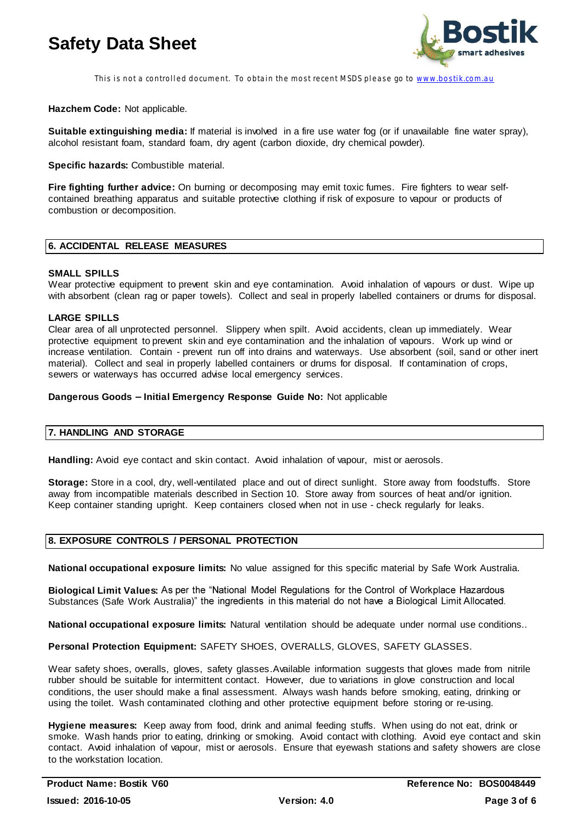

This is not a controlled document. To obtain the most recent MSDS please go to www.bostik.com.au

**Hazchem Code:** Not applicable.

**Suitable extinguishing media:** If material is involved in a fire use water fog (or if unavailable fine water spray), alcohol resistant foam, standard foam, dry agent (carbon dioxide, dry chemical powder).

**Specific hazards:** Combustible material.

**Fire fighting further advice:** On burning or decomposing may emit toxic fumes. Fire fighters to wear selfcontained breathing apparatus and suitable protective clothing if risk of exposure to vapour or products of combustion or decomposition.

# **6. ACCIDENTAL RELEASE MEASURES**

### **SMALL SPILLS**

Wear protective equipment to prevent skin and eye contamination. Avoid inhalation of vapours or dust. Wipe up with absorbent (clean rag or paper towels). Collect and seal in properly labelled containers or drums for disposal.

# **LARGE SPILLS**

Clear area of all unprotected personnel. Slippery when spilt. Avoid accidents, clean up immediately. Wear protective equipment to prevent skin and eye contamination and the inhalation of vapours. Work up wind or increase ventilation. Contain - prevent run off into drains and waterways. Use absorbent (soil, sand or other inert material). Collect and seal in properly labelled containers or drums for disposal. If contamination of crops, sewers or waterways has occurred advise local emergency services.

### Dangerous Goods - Initial Emergency Response Guide No: Not applicable

# **7. HANDLING AND STORAGE**

**Handling:** Avoid eye contact and skin contact. Avoid inhalation of vapour, mist or aerosols.

**Storage:** Store in a cool, dry, well-ventilated place and out of direct sunlight. Store away from foodstuffs. Store away from incompatible materials described in Section 10. Store away from sources of heat and/or ignition. Keep container standing upright. Keep containers closed when not in use - check regularly for leaks.

# **8. EXPOSURE CONTROLS / PERSONAL PROTECTION**

**National occupational exposure limits:** No value assigned for this specific material by Safe Work Australia.

Biological Limit Values: As per the "National Model Regulations for the Control of Workplace Hazardous Substances (Safe Work Australia)" the ingredients in this material do not have a Biological Limit Allocated.

**National occupational exposure limits:** Natural ventilation should be adequate under normal use conditions..

**Personal Protection Equipment:** SAFETY SHOES, OVERALLS, GLOVES, SAFETY GLASSES.

Wear safety shoes, overalls, gloves, safety glasses.Available information suggests that gloves made from nitrile rubber should be suitable for intermittent contact. However, due to variations in glove construction and local conditions, the user should make a final assessment. Always wash hands before smoking, eating, drinking or using the toilet. Wash contaminated clothing and other protective equipment before storing or re-using.

**Hygiene measures:** Keep away from food, drink and animal feeding stuffs. When using do not eat, drink or smoke. Wash hands prior to eating, drinking or smoking. Avoid contact with clothing. Avoid eye contact and skin contact. Avoid inhalation of vapour, mist or aerosols. Ensure that eyewash stations and safety showers are close to the workstation location.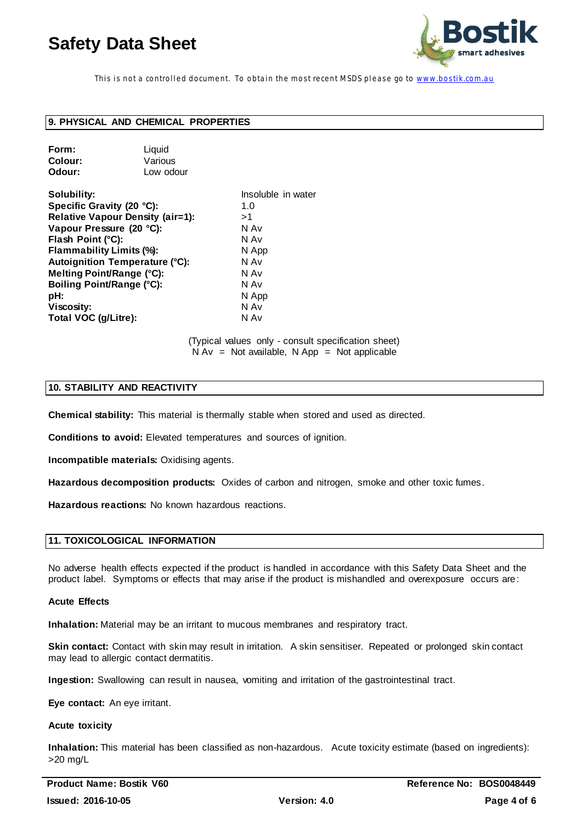

This is not a controlled document. To obtain the most recent MSDS please go to www.bostik.com.au

# **9. PHYSICAL AND CHEMICAL PROPERTIES**

| Form:   | Liquid    |
|---------|-----------|
| Colour: | Various   |
| Odour:  | Low odour |

| Insoluble in water |
|--------------------|
| 1.0                |
| >1                 |
| N Av               |
| N Av               |
| N App              |
| N Av               |
| N Av               |
| N Av               |
| N App              |
| N Av               |
| N Av               |
|                    |

(Typical values only - consult specification sheet)  $N Av = Not available, N App = Not applicable$ 

### **10. STABILITY AND REACTIVITY**

**Chemical stability:** This material is thermally stable when stored and used as directed.

**Conditions to avoid:** Elevated temperatures and sources of ignition.

**Incompatible materials:** Oxidising agents.

**Hazardous decomposition products:** Oxides of carbon and nitrogen, smoke and other toxic fumes.

**Hazardous reactions:** No known hazardous reactions.

#### **11. TOXICOLOGICAL INFORMATION**

No adverse health effects expected if the product is handled in accordance with this Safety Data Sheet and the product label. Symptoms or effects that may arise if the product is mishandled and overexposure occurs are:

#### **Acute Effects**

**Inhalation:** Material may be an irritant to mucous membranes and respiratory tract.

**Skin contact:** Contact with skin may result in irritation. A skin sensitiser. Repeated or prolonged skin contact may lead to allergic contact dermatitis.

**Ingestion:** Swallowing can result in nausea, vomiting and irritation of the gastrointestinal tract.

**Eye contact:** An eye irritant.

#### **Acute toxicity**

**Inhalation:** This material has been classified as non-hazardous. Acute toxicity estimate (based on ingredients): >20 mg/L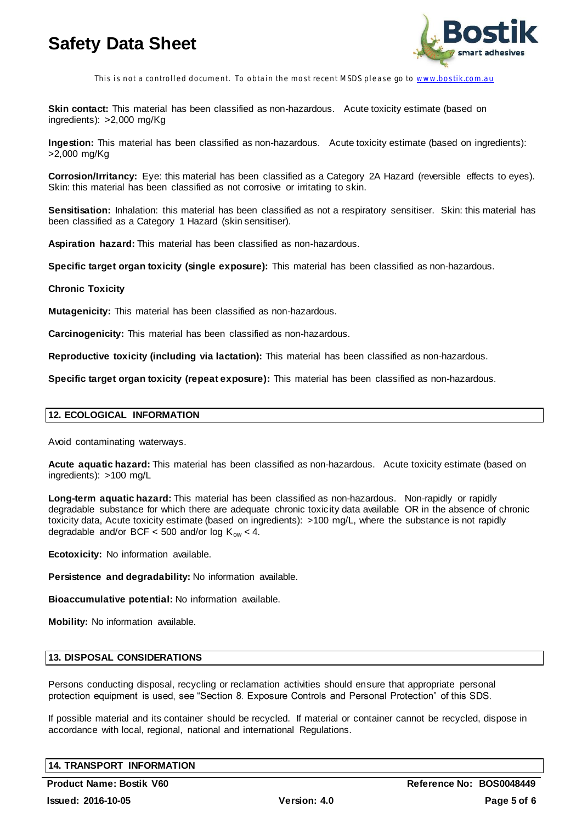

This is not a controlled document. To obtain the most recent MSDS please go to www.bostik.com.au

**Skin contact:** This material has been classified as non-hazardous. Acute toxicity estimate (based on ingredients): >2,000 mg/Kg

**Ingestion:** This material has been classified as non-hazardous. Acute toxicity estimate (based on ingredients): >2,000 mg/Kg

**Corrosion/Irritancy:** Eye: this material has been classified as a Category 2A Hazard (reversible effects to eyes). Skin: this material has been classified as not corrosive or irritating to skin.

**Sensitisation:** Inhalation: this material has been classified as not a respiratory sensitiser. Skin: this material has been classified as a Category 1 Hazard (skin sensitiser).

**Aspiration hazard:** This material has been classified as non-hazardous.

**Specific target organ toxicity (single exposure):** This material has been classified as non-hazardous.

### **Chronic Toxicity**

**Mutagenicity:** This material has been classified as non-hazardous.

**Carcinogenicity:** This material has been classified as non-hazardous.

**Reproductive toxicity (including via lactation):** This material has been classified as non-hazardous.

**Specific target organ toxicity (repeat exposure):** This material has been classified as non-hazardous.

# **12. ECOLOGICAL INFORMATION**

Avoid contaminating waterways.

**Acute aquatic hazard:** This material has been classified as non-hazardous. Acute toxicity estimate (based on ingredients): >100 mg/L

**Long-term aquatic hazard:** This material has been classified as non-hazardous. Non-rapidly or rapidly degradable substance for which there are adequate chronic toxicity data available OR in the absence of chronic toxicity data, Acute toxicity estimate (based on ingredients): >100 mg/L, where the substance is not rapidly degradable and/or BCF < 500 and/or log  $K_{ow}$  < 4.

**Ecotoxicity:** No information available.

**Persistence and degradability:** No information available.

**Bioaccumulative potential:** No information available.

**Mobility:** No information available.

# **13. DISPOSAL CONSIDERATIONS**

Persons conducting disposal, recycling or reclamation activities should ensure that appropriate personal protection equipment is used, see "Section 8. Exposure Controls and Personal Protection" of this SDS.

If possible material and its container should be recycled. If material or container cannot be recycled, dispose in accordance with local, regional, national and international Regulations.

# **14. TRANSPORT INFORMATION**